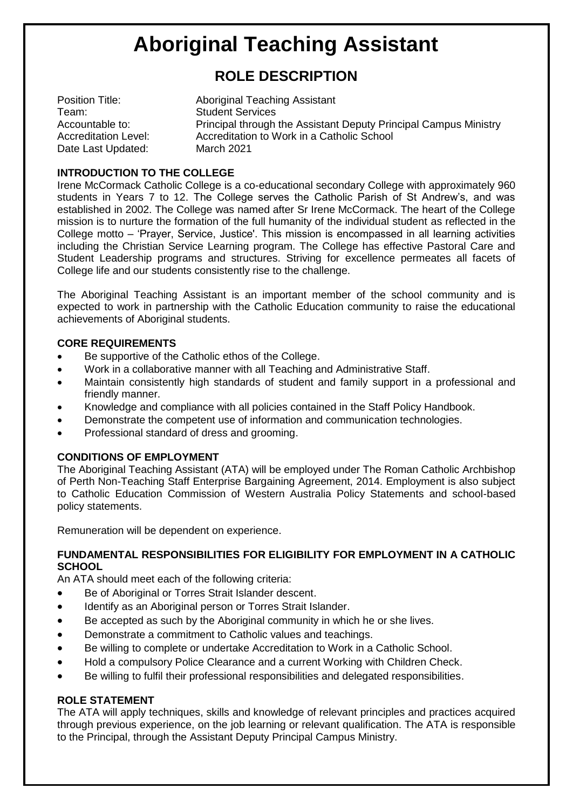# **Aboriginal Teaching Assistant**

# **ROLE DESCRIPTION**

| Position Title:             | Aboriginal Teaching Assistant                                    |
|-----------------------------|------------------------------------------------------------------|
| Team:                       | <b>Student Services</b>                                          |
| Accountable to:             | Principal through the Assistant Deputy Principal Campus Ministry |
| <b>Accreditation Level:</b> | Accreditation to Work in a Catholic School                       |
| Date Last Updated:          | <b>March 2021</b>                                                |

# **INTRODUCTION TO THE COLLEGE**

Irene McCormack Catholic College is a co-educational secondary College with approximately 960 students in Years 7 to 12. The College serves the Catholic Parish of St Andrew's, and was established in 2002. The College was named after Sr Irene McCormack. The heart of the College mission is to nurture the formation of the full humanity of the individual student as reflected in the College motto – 'Prayer, Service, Justice'. This mission is encompassed in all learning activities including the Christian Service Learning program. The College has effective Pastoral Care and Student Leadership programs and structures. Striving for excellence permeates all facets of College life and our students consistently rise to the challenge.

The Aboriginal Teaching Assistant is an important member of the school community and is expected to work in partnership with the Catholic Education community to raise the educational achievements of Aboriginal students.

# **CORE REQUIREMENTS**

- Be supportive of the Catholic ethos of the College.
- Work in a collaborative manner with all Teaching and Administrative Staff.
- Maintain consistently high standards of student and family support in a professional and friendly manner.
- Knowledge and compliance with all policies contained in the Staff Policy Handbook.
- Demonstrate the competent use of information and communication technologies.
- Professional standard of dress and grooming.

# **CONDITIONS OF EMPLOYMENT**

The Aboriginal Teaching Assistant (ATA) will be employed under The Roman Catholic Archbishop of Perth Non-Teaching Staff Enterprise Bargaining Agreement, 2014. Employment is also subject to Catholic Education Commission of Western Australia Policy Statements and school-based policy statements.

Remuneration will be dependent on experience.

#### **FUNDAMENTAL RESPONSIBILITIES FOR ELIGIBILITY FOR EMPLOYMENT IN A CATHOLIC SCHOOL**

An ATA should meet each of the following criteria:

- Be of Aboriginal or Torres Strait Islander descent.
- Identify as an Aboriginal person or Torres Strait Islander.
- Be accepted as such by the Aboriginal community in which he or she lives.
- Demonstrate a commitment to Catholic values and teachings.
- Be willing to complete or undertake Accreditation to Work in a Catholic School.
- Hold a compulsory Police Clearance and a current Working with Children Check.
- Be willing to fulfil their professional responsibilities and delegated responsibilities.

#### **ROLE STATEMENT**

The ATA will apply techniques, skills and knowledge of relevant principles and practices acquired through previous experience, on the job learning or relevant qualification. The ATA is responsible to the Principal, through the Assistant Deputy Principal Campus Ministry.